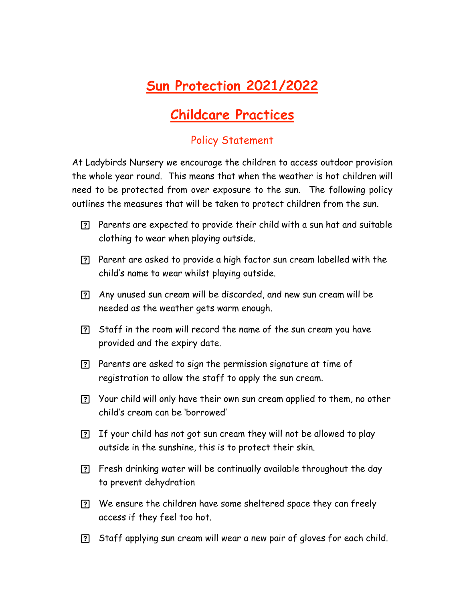## **Sun Protection 2021/2022**

## **Childcare Practices**

## Policy Statement

At Ladybirds Nursery we encourage the children to access outdoor provision the whole year round. This means that when the weather is hot children will need to be protected from over exposure to the sun. The following policy outlines the measures that will be taken to protect children from the sun.

- Parents are expected to provide their child with a sun hat and suitable clothing to wear when playing outside.
- Parent are asked to provide a high factor sun cream labelled with the child's name to wear whilst playing outside.
- Any unused sun cream will be discarded, and new sun cream will be needed as the weather gets warm enough.
- Staff in the room will record the name of the sun cream you have provided and the expiry date.
- Parents are asked to sign the permission signature at time of registration to allow the staff to apply the sun cream.
- Your child will only have their own sun cream applied to them, no other child's cream can be 'borrowed'
- If your child has not got sun cream they will not be allowed to play outside in the sunshine, this is to protect their skin.
- Fresh drinking water will be continually available throughout the day to prevent dehydration
- We ensure the children have some sheltered space they can freely access if they feel too hot.
- Staff applying sun cream will wear a new pair of gloves for each child.